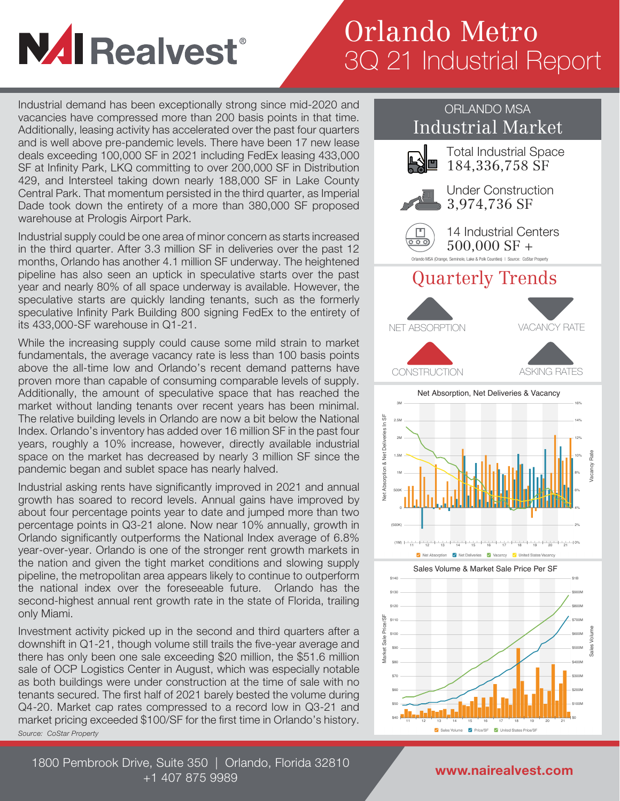## **NAI Realvest**®

## Orlando Metro 3Q 21 Industrial Report

Industrial demand has been exceptionally strong since mid-2020 and vacancies have compressed more than 200 basis points in that time. Additionally, leasing activity has accelerated over the past four quarters and is well above pre-pandemic levels. There have been 17 new lease deals exceeding 100,000 SF in 2021 including FedEx leasing 433,000 SF at Infinity Park, LKQ committing to over 200,000 SF in Distribution 429, and Intersteel taking down nearly 188,000 SF in Lake County Central Park. That momentum persisted in the third quarter, as Imperial Dade took down the entirety of a more than 380,000 SF proposed warehouse at Prologis Airport Park.

Industrial supply could be one area of minor concern as starts increased in the third quarter. After 3.3 million SF in deliveries over the past 12 months, Orlando has another 4.1 million SF underway. The heightened pipeline has also seen an uptick in speculative starts over the past year and nearly 80% of all space underway is available. However, the speculative starts are quickly landing tenants, such as the formerly speculative Infinity Park Building 800 signing FedEx to the entirety of its 433,000-SF warehouse in Q1-21.

While the increasing supply could cause some mild strain to market fundamentals, the average vacancy rate is less than 100 basis points above the all-time low and Orlando's recent demand patterns have proven more than capable of consuming comparable levels of supply. Additionally, the amount of speculative space that has reached the market without landing tenants over recent years has been minimal. The relative building levels in Orlando are now a bit below the National Index. Orlando's inventory has added over 16 million SF in the past four years, roughly a 10% increase, however, directly available industrial space on the market has decreased by nearly 3 million SF since the pandemic began and sublet space has nearly halved.

Industrial asking rents have significantly improved in 2021 and annual growth has soared to record levels. Annual gains have improved by about four percentage points year to date and jumped more than two percentage points in Q3-21 alone. Now near 10% annually, growth in Orlando significantly outperforms the National Index average of 6.8% year-over-year. Orlando is one of the stronger rent growth markets in the nation and given the tight market conditions and slowing supply pipeline, the metropolitan area appears likely to continue to outperform the national index over the foreseeable future. Orlando has the second-highest annual rent growth rate in the state of Florida, trailing only Miami.

Investment activity picked up in the second and third quarters after a downshift in Q1-21, though volume still trails the five-year average and there has only been one sale exceeding \$20 million, the \$51.6 million sale of OCP Logistics Center in August, which was especially notable as both buildings were under construction at the time of sale with no tenants secured. The first half of 2021 barely bested the volume during Q4-20. Market cap rates compressed to a record low in Q3-21 and market pricing exceeded \$100/SF for the first time in Orlando's history. *Source: CoStar Property*